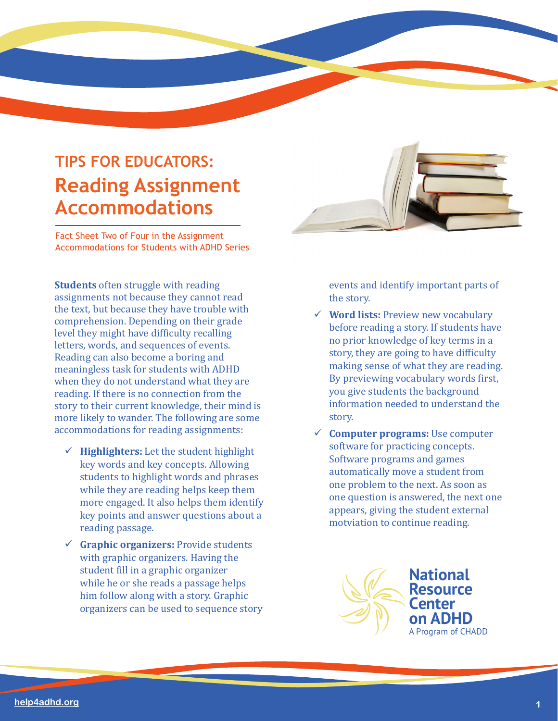## **TIPS FOR EDUCATORS: Reading Assignment Accommodations**

Fact Sheet Two of Four in the Assignment Accommodations for Students with ADHD Series

**Students** often struggle with reading assignments not because they cannot read the text, but because they have trouble with comprehension. Depending on their grade level they might have difficulty recalling letters, words, and sequences of events. Reading can also become a boring and meaningless task for students with ADHD when they do not understand what they are reading. If there is no connection from the story to their current knowledge, their mind is more likely to wander. The following are some accommodations for reading assignments:

- $\checkmark$  **Highlighters:** Let the student highlight key words and key concepts. Allowing students to highlight words and phrases while they are reading helps keep them more engaged. It also helps them identify key points and answer questions about a reading passage.
- **Graphic organizers:** Provide students with graphic organizers. Having the student fill in a graphic organizer while he or she reads a passage helps him follow along with a story. Graphic organizers can be used to sequence story

events and identify important parts of the story.

- **Word lists:** Preview new vocabulary before reading a story. If students have no prior knowledge of key terms in a story, they are going to have difficulty making sense of what they are reading. By previewing vocabulary words first, you give students the background information needed to understand the story.
- **Computer programs:** Use computer software for practicing concepts. Software programs and games automatically move a student from one problem to the next. As soon as one question is answered, the next one appears, giving the student external motviation to continue reading.